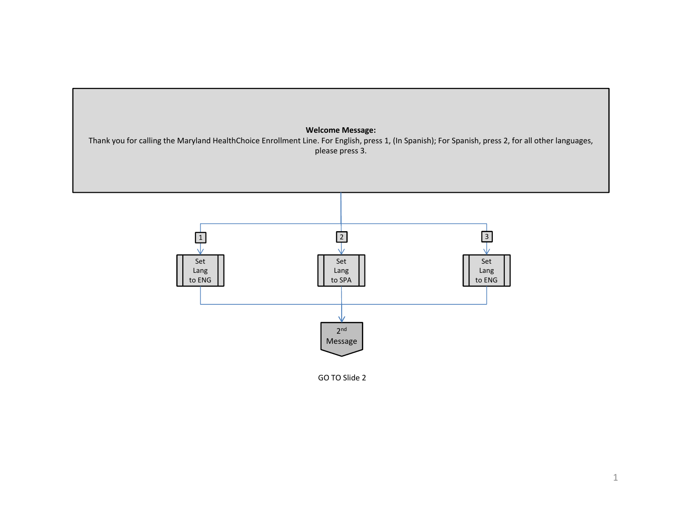



GO TO Slide 2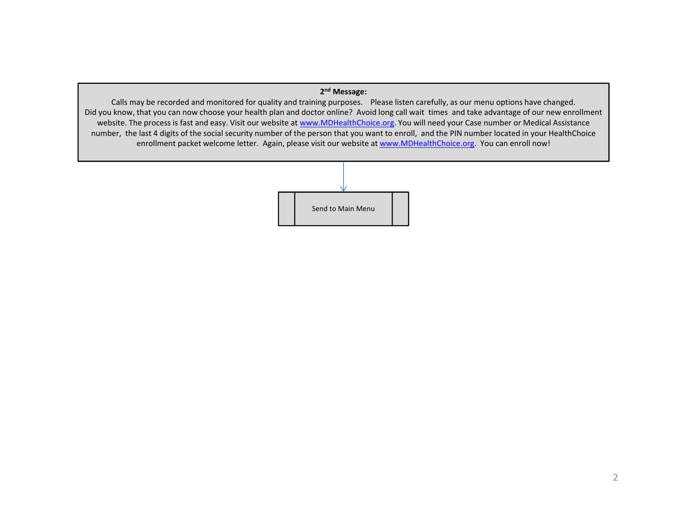## **2n<sup>d</sup> Message:**

Calls may be recorded and monitored for quality and training purposes. Please listen carefully, as our menu options have changed. Did you know, that you can now choose your health plan and doctor online? Avoid long call wait times and take advantage of our new enrollment website. The process is fast and easy. Visit our website at www.MDHealthChoice.org. You will need your Case number or Medical Assistance number, the last 4 digits of the social security number of the person that you want to enroll, and the PIN number located in your HealthChoice enrollment packet welcome letter. Again, please visit our website at www.MDHealthChoice.org. You can enroll now!

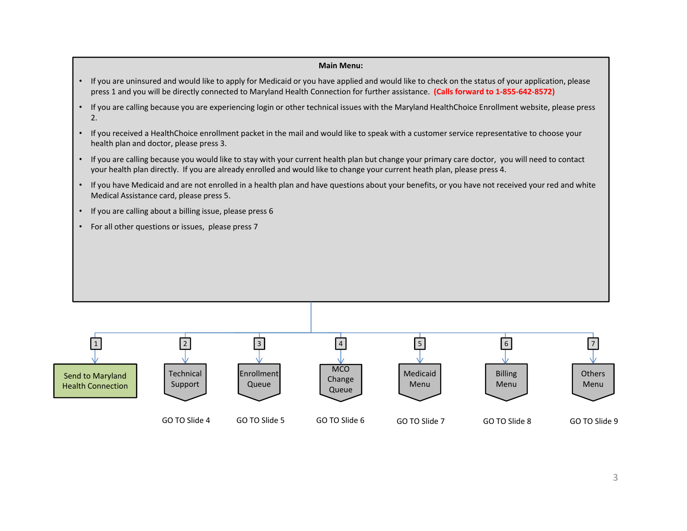## **Main Menu:**

- If you are uninsured and would like to apply for Medicaid or you have applied and would like to check on the status of your application, please press 1 and you will be directly connected to Maryland Health Connection for further assistance. **(Calls forward to 1‐855‐642‐8572)**
- If you are calling because you are experiencing login or other technical issues with the Maryland HealthChoice Enrollment website, please press 2.
- If you received a HealthChoice enrollment packet in the mail and would like to speak with a customer service representative to choose your health plan and doctor, please press 3.
- If you are calling because you would like to stay with your current health plan but change your primary care doctor, you will need to contact your health plan directly. If you are already enrolled and would like to change your current heath plan, please press 4.
- If you have Medicaid and are not enrolled in a health plan and have questions about your benefits, or you have not received your red and white Medical Assistance card, please press 5.
- If you are calling about a billing issue, please press 6
- For all other questions or issues, please press 7

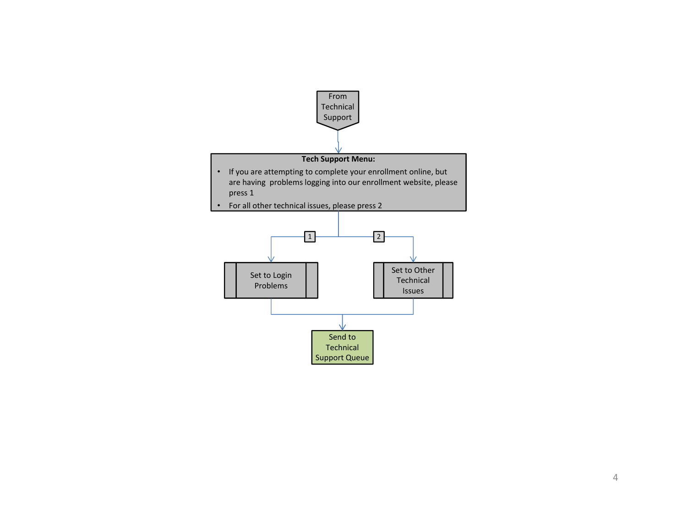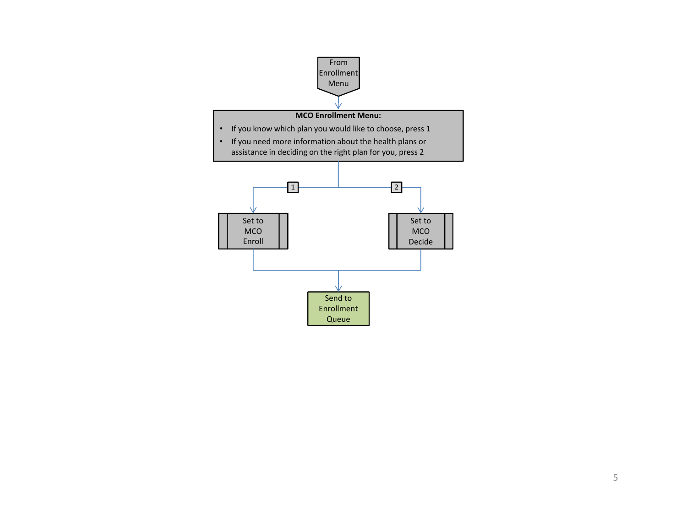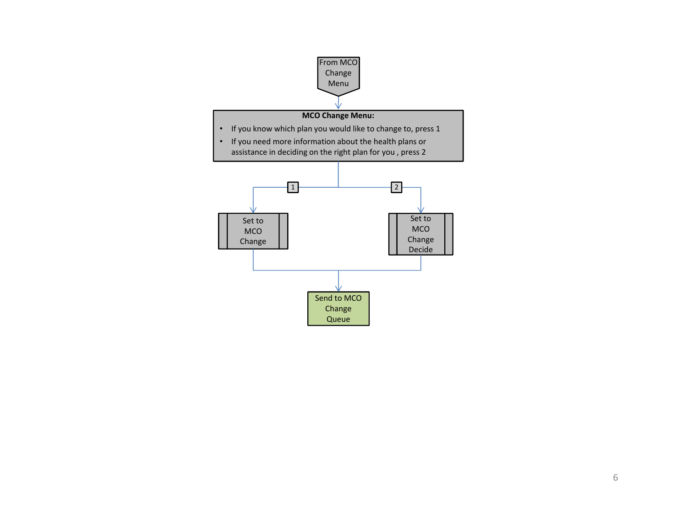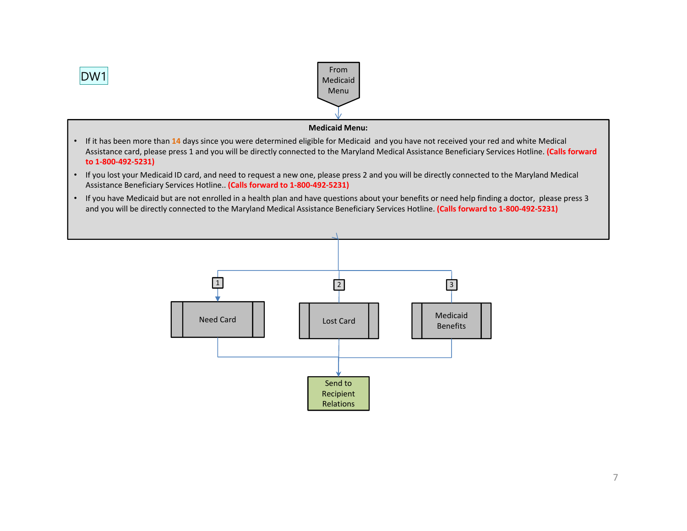

- Assistance card, please press 1 and you will be directly connected to the Maryland Medical Assistance Beneficiary Services Hotline. **(Calls forward to 1‐800‐492‐5231)**
- If you lost your Medicaid ID card, and need to request a new one, please press 2 and you will be directly connected to the Maryland Medical Assistance Beneficiary Services Hotline.. **(Calls forward to 1‐800‐492‐5231)**
- If you have Medicaid but are not enrolled in a health plan and have questions about your benefits or need help finding a doctor, please press 3 and you will be directly connected to the Maryland Medical Assistance Beneficiary Services Hotline. **(Calls forward to 1‐800‐492‐5231)**

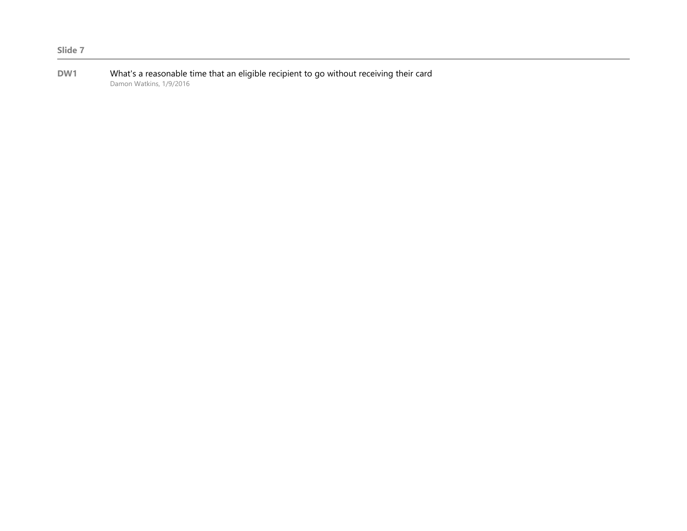**DW1** What's a reasonable time that an eligible recipient to go without receiving their card Damon Watkins, 1/9/2016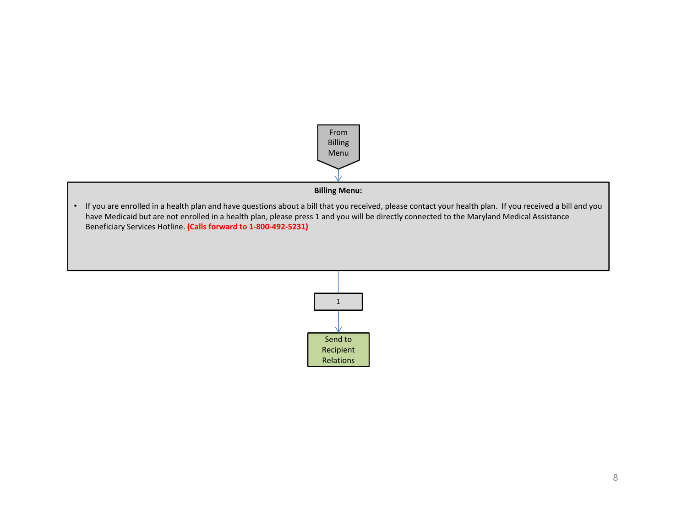

**Billing Menu:** 

• If you are enrolled in a health plan and have questions about a bill that you received, please contact your health plan. If you received a bill and you have Medicaid but are not enrolled in a health plan, please press 1 and you will be directly connected to the Maryland Medical Assistance Beneficiary Services Hotline. **(Calls forward to 1‐800‐492‐5231)**